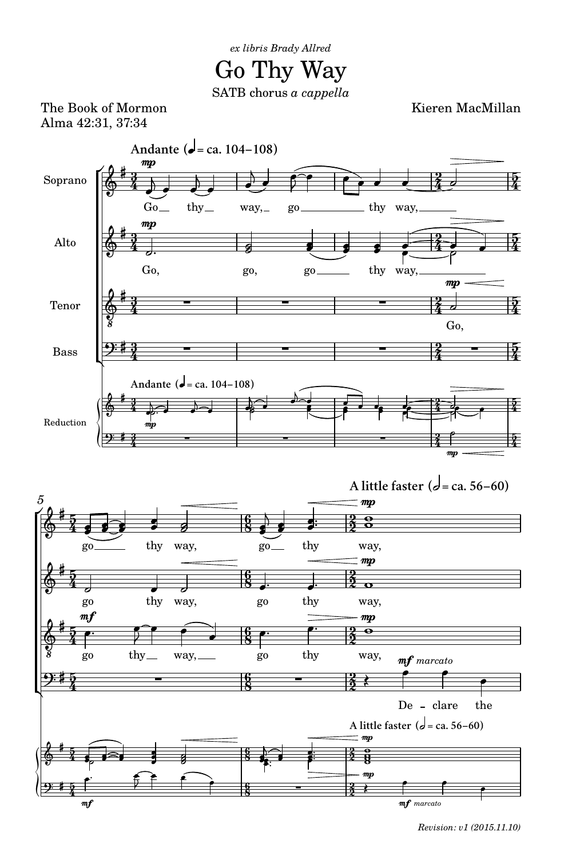*ex libris Brady Allred*

Go Thy Way

SATB chorus *a cappella*

The Book of Mormon Alma 42:31, 37:34

Kieren MacMillan



*Revision: v1 (2015.11.10)*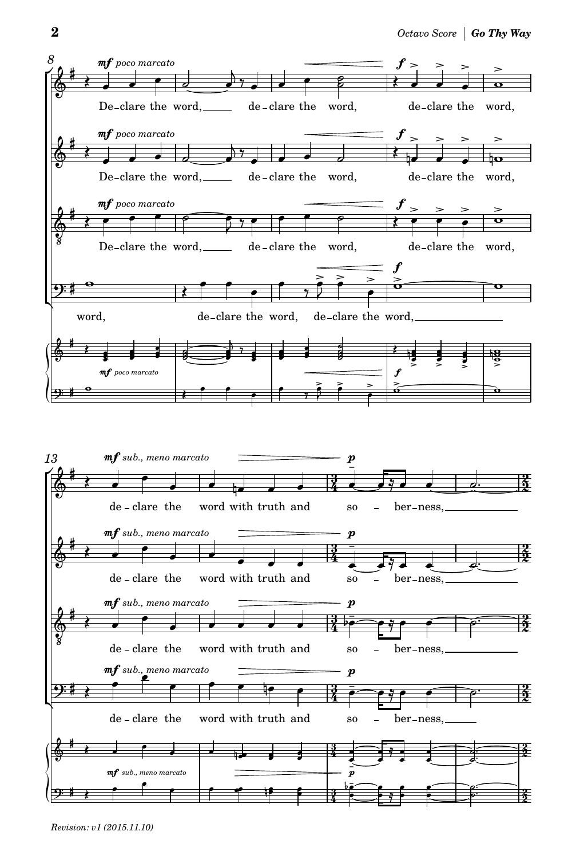2 2



3 4

ij

f

ŕ

f ś F ė

 $\bar{p}$ F ē ֖֖֖֦֢֦֪֪֦֖֚֚֚֚֚֬֝֝֬֝֓֕֓֝֬֝֓֕֓֝֝֓֝ b

F ė  $\ddot{\phantom{0}}$ 

p é

 $\ddot{\phantom{a}}$ 

7

F ė

₣ ė

*Revision: v1 (2015.11.10)*

ė

mf *sub., meno marcato*

 $\overrightarrow{ }$ 

ŧ

9:

Ř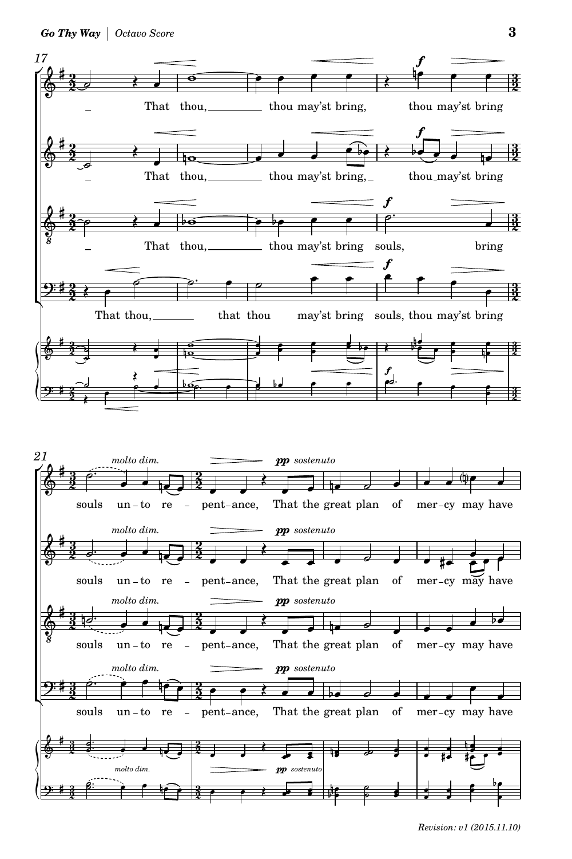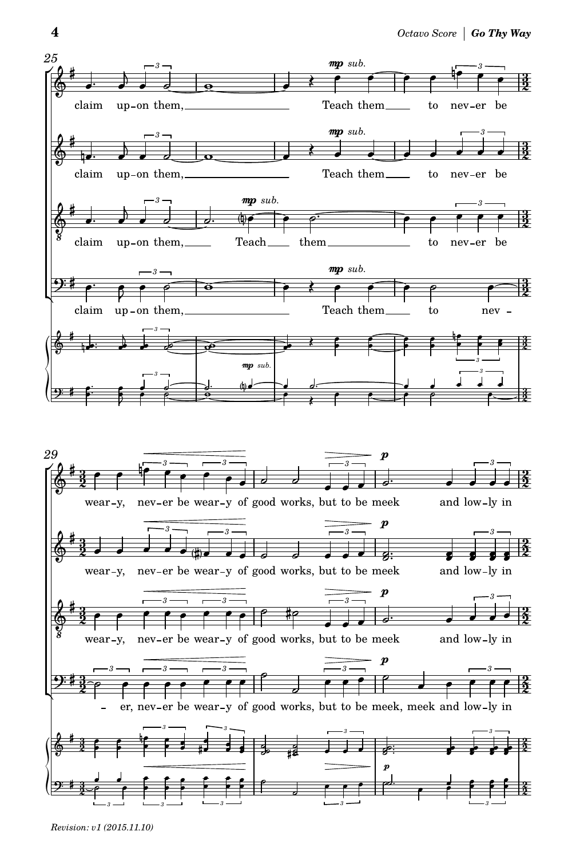

*Revision: v1 (2015.11.10)*